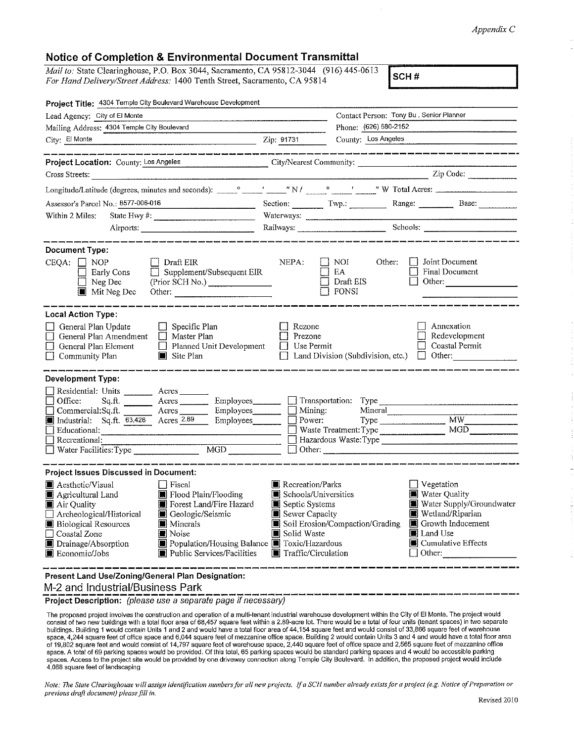## *Appendix* C

## **Notice of Completion** & **Environmental Document Transmittal**

*Mail to:* State Clearinghouse, P.O. Box 3044, Sacramento, CA 95812-3044 (916) 445-0613 *For Hand Delivery/Street Address:* 1400 Tenth Street, Sacramento, CA 95814 (910) 445-0015 **SCH #** 

| Project Title: 4304 Temple City Boulevard Warehouse Development                                                                                                                                                                                                                                                                                                                                                             |                                                                                                                              |                                                           |                                                                                                                                                                                                                                                                                                                                                                                                                      |
|-----------------------------------------------------------------------------------------------------------------------------------------------------------------------------------------------------------------------------------------------------------------------------------------------------------------------------------------------------------------------------------------------------------------------------|------------------------------------------------------------------------------------------------------------------------------|-----------------------------------------------------------|----------------------------------------------------------------------------------------------------------------------------------------------------------------------------------------------------------------------------------------------------------------------------------------------------------------------------------------------------------------------------------------------------------------------|
| Lead Agency: City of El Monte                                                                                                                                                                                                                                                                                                                                                                                               |                                                                                                                              | Contact Person: Tony Bu, Senior Planner                   |                                                                                                                                                                                                                                                                                                                                                                                                                      |
| Mailing Address: 4304 Temple City Boulevard                                                                                                                                                                                                                                                                                                                                                                                 |                                                                                                                              | Phone: (626) 580-2152                                     |                                                                                                                                                                                                                                                                                                                                                                                                                      |
| City: El Monte                                                                                                                                                                                                                                                                                                                                                                                                              | Zip: 91731                                                                                                                   | County: Los Angeles                                       |                                                                                                                                                                                                                                                                                                                                                                                                                      |
| .<br>In the color color second second second second second second second second                                                                                                                                                                                                                                                                                                                                             |                                                                                                                              |                                                           | .<br>And the same party and the same state and party party and the same state that same state and same state and st                                                                                                                                                                                                                                                                                                  |
| Project Location: County: Los Angeles City/Nearest Community:                                                                                                                                                                                                                                                                                                                                                               |                                                                                                                              |                                                           |                                                                                                                                                                                                                                                                                                                                                                                                                      |
| Cross Streets:                                                                                                                                                                                                                                                                                                                                                                                                              |                                                                                                                              |                                                           | $\frac{1}{\sqrt{1-\frac{1}{2}}\sqrt{1-\frac{1}{2}}\sqrt{1-\frac{1}{2}}\sqrt{1-\frac{1}{2}}\sqrt{1-\frac{1}{2}}\sqrt{1-\frac{1}{2}}\sqrt{1-\frac{1}{2}}\sqrt{1-\frac{1}{2}}\sqrt{1-\frac{1}{2}}\sqrt{1-\frac{1}{2}}\sqrt{1-\frac{1}{2}}\sqrt{1-\frac{1}{2}}\sqrt{1-\frac{1}{2}}\sqrt{1-\frac{1}{2}}\sqrt{1-\frac{1}{2}}\sqrt{1-\frac{1}{2}}\sqrt{1-\frac{1}{2}}\sqrt{1-\frac{1}{2}}\sqrt{1-\frac{1}{2}}\sqrt{1-\frac$ |
|                                                                                                                                                                                                                                                                                                                                                                                                                             |                                                                                                                              |                                                           |                                                                                                                                                                                                                                                                                                                                                                                                                      |
| Assessor's Parcel No.: 8577-006-016                                                                                                                                                                                                                                                                                                                                                                                         |                                                                                                                              |                                                           | Section: Twp.: Twp.: Range: Base:                                                                                                                                                                                                                                                                                                                                                                                    |
| State Hwy $\#$ :<br>Within 2 Miles:                                                                                                                                                                                                                                                                                                                                                                                         |                                                                                                                              |                                                           |                                                                                                                                                                                                                                                                                                                                                                                                                      |
|                                                                                                                                                                                                                                                                                                                                                                                                                             |                                                                                                                              |                                                           |                                                                                                                                                                                                                                                                                                                                                                                                                      |
| <b>Document Type:</b><br>$CEQA: \Box NOP$<br>  Draft EIR<br>$\Box$ Supplement/Subsequent EIR<br>Early Cons<br>$\Box$ Neg Dec<br>(Prior SCH No.)<br>$\blacksquare$ Mit Neg Dec<br>Other:                                                                                                                                                                                                                                     | NEPA:                                                                                                                        | NOI  <br>Other:<br>EA<br>$\Box$ Draft EIS<br>$\Box$ fonsi | Joint Document<br>$\blacksquare$<br><b>Final Document</b><br>Other:                                                                                                                                                                                                                                                                                                                                                  |
| <b>Local Action Type:</b><br>General Plan Update<br>$\Box$ Specific Plan<br>$\Box$ Master Plan<br>General Plan Amendment<br>General Plan Element<br>Planned Unit Development<br>Community Plan<br>Site Plan                                                                                                                                                                                                                 | Rezone<br>Prezone<br>Use Permit<br>$\perp$                                                                                   |                                                           | Annexation<br>Redevelopment<br>Coastal Permit<br>Land Division (Subdivision, etc.) $\Box$ Other:                                                                                                                                                                                                                                                                                                                     |
| <b>Development Type:</b>                                                                                                                                                                                                                                                                                                                                                                                                    |                                                                                                                              |                                                           |                                                                                                                                                                                                                                                                                                                                                                                                                      |
| Residential: Units ___________ Acres _______<br>Office:<br>Sq.ft. _________ Acres ___________ Employees _________<br>Commercial:Sq.ft. Acres Employees Mining:<br>Mining: Sq.ft. 63,428 Acres 2.89 Employees Mining:<br>Educational:<br><u> Alexandro de la contrada de la contrada de la contrada de la contrada de la contrada de la contrada de la co</u><br>Recreational:<br>$\overline{MGD}$<br>Water Facilities: Type |                                                                                                                              | Waste Treatment: Type<br>$\Box$ Other:                    | MGD<br>Hazardous Waste: Type                                                                                                                                                                                                                                                                                                                                                                                         |
| <b>Project Issues Discussed in Document:</b>                                                                                                                                                                                                                                                                                                                                                                                |                                                                                                                              |                                                           |                                                                                                                                                                                                                                                                                                                                                                                                                      |
| $\Box$ Fiscal<br>III Aesthetic/Visual<br>Flood Plain/Flooding<br>Agricultural Land<br>Forest Land/Fire Hazard<br>Air Quality<br>Archeological/Historical<br>Geologic/Seismic<br><b>B</b> Biological Resources<br><b>Minerals</b><br>$\Box$ Coastal Zone<br>Noise<br>Drainage/Absorption<br>Population/Housing Balance Toxic/Hazardous<br>Economic/Jobs<br>Public Services/Facilities                                        | <b>II</b> Recreation/Parks<br>Schools/Universities<br>Septic Systems<br>Sewer Capacity<br>Solid Waste<br>Traffic/Circulation | Soil Erosion/Compaction/Grading                           | ⊔ Vegetation<br>■ Water Quality<br>Water Supply/Groundwater<br>Wetland/Riparian<br>$\Box$ Growth Inducement<br>■ Land Use<br>$\blacksquare$ Cumulative Effects<br>$\Box$ Other:                                                                                                                                                                                                                                      |
| Present Land Use/Zoning/General Plan Designation:<br>M-2 and Industrial/Business Park                                                                                                                                                                                                                                                                                                                                       |                                                                                                                              |                                                           |                                                                                                                                                                                                                                                                                                                                                                                                                      |

Project Description: (please use a separate page if necessary)

The proposed project involves the construction and operation of a multi-tenant industrial warehouse development within the City of El Monie. The project would consist of two new buildings with a total floor area of 68,457 square feet within a 2.89-acre lot. There would be a total of four units (tenant spaces) in two separate buildings. Building 1 would contain Units 1 and 2 and would have a total floor area of 44,154 square feet and would consist of 33,866 square feel of warehouse space, 4,244 square feet of office space and 6,044 square feet of mezzanine office space. Building 2 would contain Units 3 and 4 and would have a total floor area of 19,802 square feet and would consist of 14,797 square feet of warehouse space, 2,440 square feet of office space and 2,565 square feet of mezzanine office<br>space, A total of 69 parking spaces would be provided. Of this t spaces. Access to the project site would be provided by one driveway connection a!ong Temple City Boulevard. !n addition, the proposed project would include 4,068 square feet of landscaping

*Note: The State Clearinghouse will assign identification numbers for all new projects. If a SCH number a/ready exists for a project (e.g. Notice of Preparation or previous draft document) please fill in.*